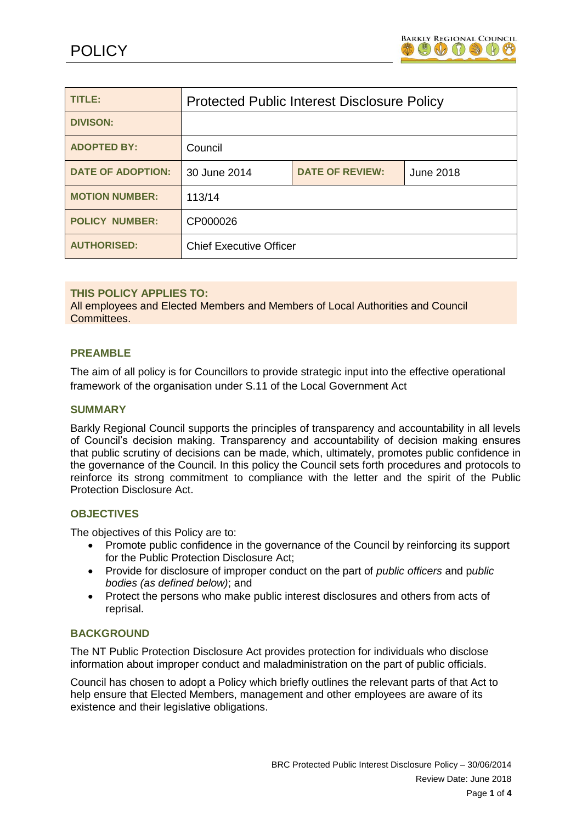

| TITLE:                   | <b>Protected Public Interest Disclosure Policy</b> |                        |           |
|--------------------------|----------------------------------------------------|------------------------|-----------|
| <b>DIVISON:</b>          |                                                    |                        |           |
| <b>ADOPTED BY:</b>       | Council                                            |                        |           |
| <b>DATE OF ADOPTION:</b> | 30 June 2014                                       | <b>DATE OF REVIEW:</b> | June 2018 |
| <b>MOTION NUMBER:</b>    | 113/14                                             |                        |           |
| <b>POLICY NUMBER:</b>    | CP000026                                           |                        |           |
| <b>AUTHORISED:</b>       | <b>Chief Executive Officer</b>                     |                        |           |

# **THIS POLICY APPLIES TO:**

All employees and Elected Members and Members of Local Authorities and Council Committees.

# **PREAMBLE**

The aim of all policy is for Councillors to provide strategic input into the effective operational framework of the organisation under S.11 of the Local Government Act

### **SUMMARY**

Barkly Regional Council supports the principles of transparency and accountability in all levels of Council's decision making. Transparency and accountability of decision making ensures that public scrutiny of decisions can be made, which, ultimately, promotes public confidence in the governance of the Council. In this policy the Council sets forth procedures and protocols to reinforce its strong commitment to compliance with the letter and the spirit of the Public Protection Disclosure Act.

### **OBJECTIVES**

The objectives of this Policy are to:

- Promote public confidence in the governance of the Council by reinforcing its support for the Public Protection Disclosure Act;
- Provide for disclosure of improper conduct on the part of *public officers* and p*ublic bodies (as defined below)*; and
- Protect the persons who make public interest disclosures and others from acts of reprisal.

### **BACKGROUND**

The NT Public Protection Disclosure Act provides protection for individuals who disclose information about improper conduct and maladministration on the part of public officials.

Council has chosen to adopt a Policy which briefly outlines the relevant parts of that Act to help ensure that Elected Members, management and other employees are aware of its existence and their legislative obligations.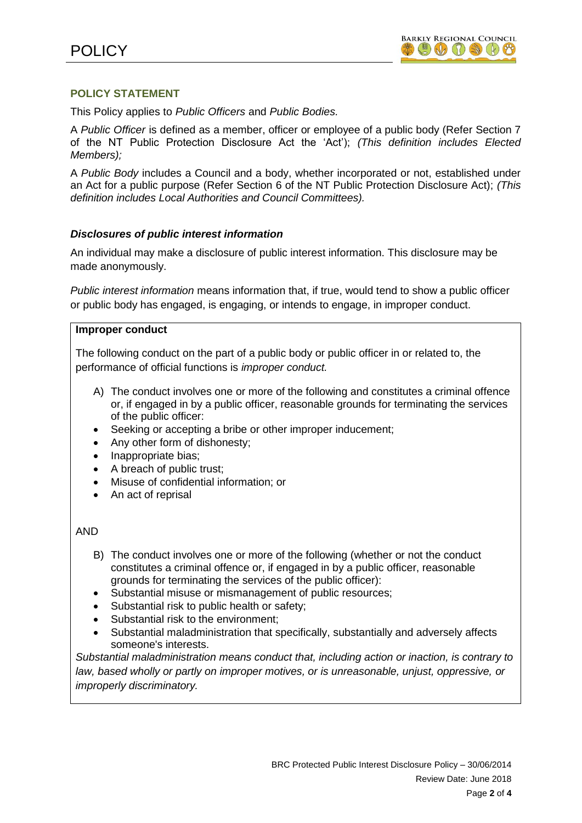# **POLICY STATEMENT**

This Policy applies to *Public Officers* and *Public Bodies.*

A *Public Officer* is defined as a member, officer or employee of a public body (Refer Section 7 of the NT Public Protection Disclosure Act the 'Act'); *(This definition includes Elected Members);*

A *Public Body* includes a Council and a body, whether incorporated or not, established under an Act for a public purpose (Refer Section 6 of the NT Public Protection Disclosure Act); *(This definition includes Local Authorities and Council Committees).*

# *Disclosures of public interest information*

An individual may make a disclosure of public interest information. This disclosure may be made anonymously.

*Public interest information* means information that, if true, would tend to show a public officer or public body has engaged, is engaging, or intends to engage, in improper conduct.

# **Improper conduct**

The following conduct on the part of a public body or public officer in or related to, the performance of official functions is *improper conduct.*

- A) The conduct involves one or more of the following and constitutes a criminal offence or, if engaged in by a public officer, reasonable grounds for terminating the services of the public officer:
- Seeking or accepting a bribe or other improper inducement;
- Any other form of dishonesty;
- Inappropriate bias;
- A breach of public trust;
- Misuse of confidential information; or
- An act of reprisal

# AND

- B) The conduct involves one or more of the following (whether or not the conduct constitutes a criminal offence or, if engaged in by a public officer, reasonable grounds for terminating the services of the public officer):
- Substantial misuse or mismanagement of public resources;
- Substantial risk to public health or safety;
- Substantial risk to the environment;
- Substantial maladministration that specifically, substantially and adversely affects someone's interests.

*Substantial maladministration means conduct that, including action or inaction, is contrary to*  law, based wholly or partly on improper motives, or is unreasonable, unjust, oppressive, or *improperly discriminatory.*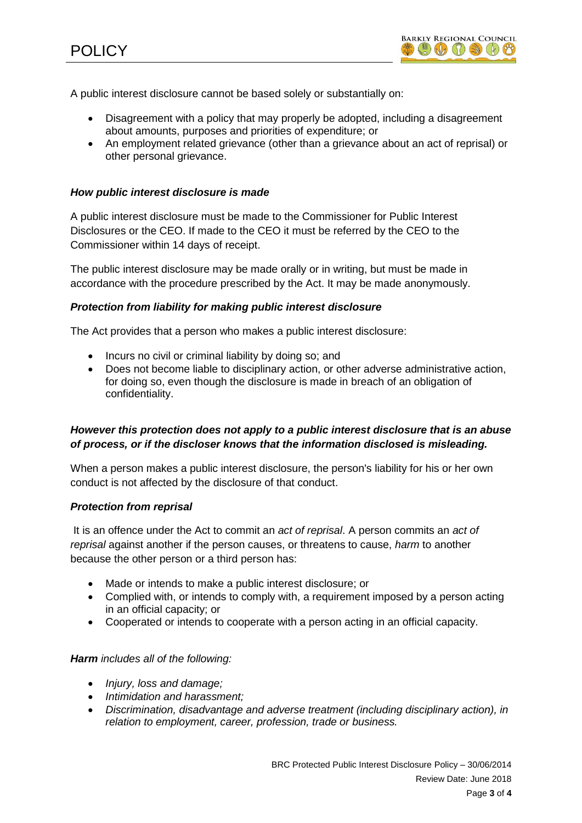

A public interest disclosure cannot be based solely or substantially on:

- Disagreement with a policy that may properly be adopted, including a disagreement about amounts, purposes and priorities of expenditure; or
- An employment related grievance (other than a grievance about an act of reprisal) or other personal grievance.

### *How public interest disclosure is made*

A public interest disclosure must be made to the Commissioner for Public Interest Disclosures or the CEO. If made to the CEO it must be referred by the CEO to the Commissioner within 14 days of receipt.

The public interest disclosure may be made orally or in writing, but must be made in accordance with the procedure prescribed by the Act. It may be made anonymously.

### *Protection from liability for making public interest disclosure*

The Act provides that a person who makes a public interest disclosure:

- Incurs no civil or criminal liability by doing so; and
- Does not become liable to disciplinary action, or other adverse administrative action, for doing so, even though the disclosure is made in breach of an obligation of confidentiality.

# *However this protection does not apply to a public interest disclosure that is an abuse of process, or if the discloser knows that the information disclosed is misleading.*

When a person makes a public interest disclosure, the person's liability for his or her own conduct is not affected by the disclosure of that conduct.

### *Protection from reprisal*

It is an offence under the Act to commit an *act of reprisal*. A person commits an *act of reprisal* against another if the person causes, or threatens to cause, *harm* to another because the other person or a third person has:

- Made or intends to make a public interest disclosure; or
- Complied with, or intends to comply with, a requirement imposed by a person acting in an official capacity; or
- Cooperated or intends to cooperate with a person acting in an official capacity.

### *Harm includes all of the following:*

- *Injury, loss and damage;*
- *Intimidation and harassment;*
- *Discrimination, disadvantage and adverse treatment (including disciplinary action), in relation to employment, career, profession, trade or business.*